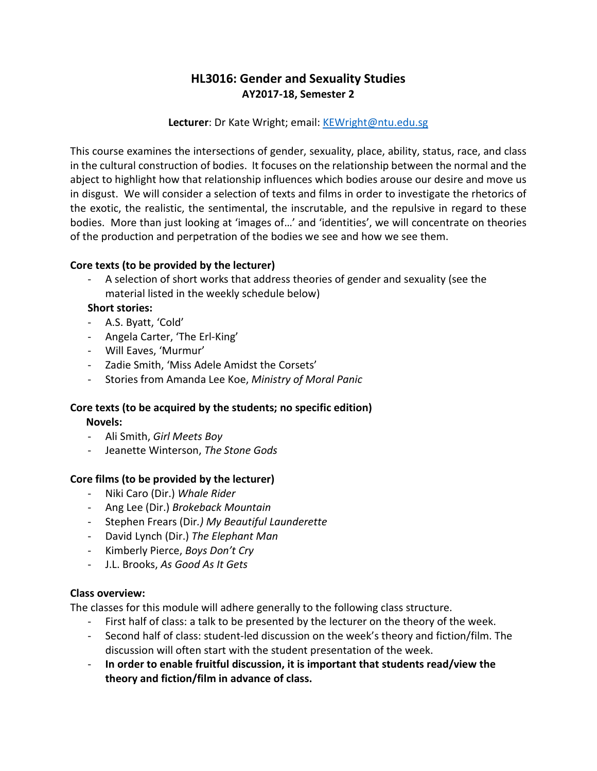# **HL3016: Gender and Sexuality Studies AY2017-18, Semester 2**

#### **Lecturer**: Dr Kate Wright; email: [KEWright@ntu.edu.sg](mailto:KEWright@ntu.edu.sg)

This course examines the intersections of gender, sexuality, place, ability, status, race, and class in the cultural construction of bodies. It focuses on the relationship between the normal and the abject to highlight how that relationship influences which bodies arouse our desire and move us in disgust. We will consider a selection of texts and films in order to investigate the rhetorics of the exotic, the realistic, the sentimental, the inscrutable, and the repulsive in regard to these bodies. More than just looking at 'images of…' and 'identities', we will concentrate on theories of the production and perpetration of the bodies we see and how we see them.

## **Core texts (to be provided by the lecturer)**

A selection of short works that address theories of gender and sexuality (see the material listed in the weekly schedule below)

## **Short stories:**

- A.S. Byatt, 'Cold'
- Angela Carter, 'The Erl-King'
- Will Eaves, 'Murmur'
- Zadie Smith, 'Miss Adele Amidst the Corsets'
- Stories from Amanda Lee Koe, *Ministry of Moral Panic*

#### **Core texts (to be acquired by the students; no specific edition) Novels:**

- Ali Smith, *Girl Meets Boy*
- Jeanette Winterson, *The Stone Gods*

# **Core films (to be provided by the lecturer)**

- Niki Caro (Dir.) *Whale Rider*
- Ang Lee (Dir.) *Brokeback Mountain*
- Stephen Frears (Dir*.) My Beautiful Launderette*
- David Lynch (Dir.) *The Elephant Man*
- Kimberly Pierce, *Boys Don't Cry*
- J.L. Brooks, *As Good As It Gets*

# **Class overview:**

The classes for this module will adhere generally to the following class structure.

- First half of class: a talk to be presented by the lecturer on the theory of the week.
- Second half of class: student-led discussion on the week's theory and fiction/film. The discussion will often start with the student presentation of the week.
- **In order to enable fruitful discussion, it is important that students read/view the theory and fiction/film in advance of class.**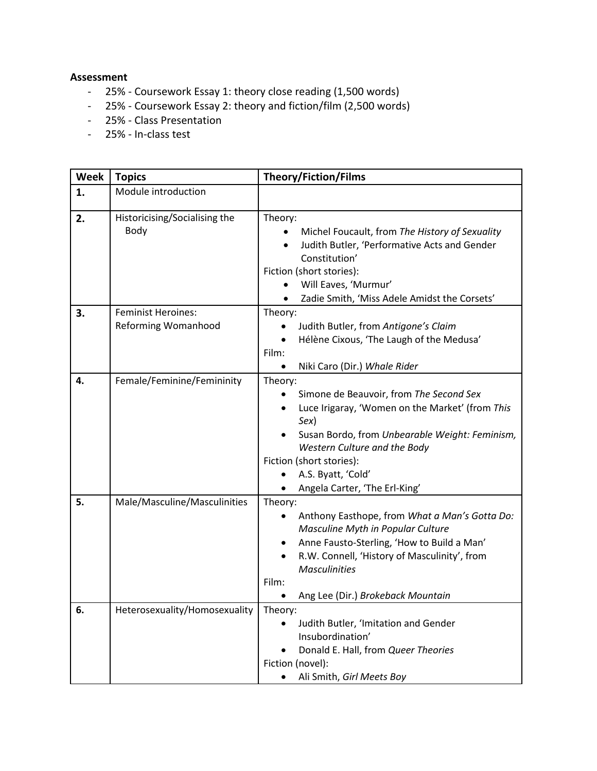#### **Assessment**

- 25% Coursework Essay 1: theory close reading (1,500 words)
- 25% Coursework Essay 2: theory and fiction/film (2,500 words)
- 25% Class Presentation
- 25% In-class test

| <b>Week</b> | <b>Topics</b>                                    | <b>Theory/Fiction/Films</b>                                                                                                                                                                                                                                                        |
|-------------|--------------------------------------------------|------------------------------------------------------------------------------------------------------------------------------------------------------------------------------------------------------------------------------------------------------------------------------------|
| 1.          | Module introduction                              |                                                                                                                                                                                                                                                                                    |
| 2.          | Historicising/Socialising the<br>Body            | Theory:<br>Michel Foucault, from The History of Sexuality<br>Judith Butler, 'Performative Acts and Gender<br>Constitution'<br>Fiction (short stories):                                                                                                                             |
|             |                                                  | Will Eaves, 'Murmur'                                                                                                                                                                                                                                                               |
|             |                                                  | Zadie Smith, 'Miss Adele Amidst the Corsets'                                                                                                                                                                                                                                       |
| 3.          | <b>Feminist Heroines:</b><br>Reforming Womanhood | Theory:<br>Judith Butler, from Antigone's Claim<br>Hélène Cixous, 'The Laugh of the Medusa'<br>Film:<br>Niki Caro (Dir.) Whale Rider<br>٠                                                                                                                                          |
| 4.          | Female/Feminine/Femininity                       | Theory:<br>Simone de Beauvoir, from The Second Sex<br>Luce Irigaray, 'Women on the Market' (from This<br>Sex)<br>Susan Bordo, from Unbearable Weight: Feminism,<br>Western Culture and the Body<br>Fiction (short stories):<br>A.S. Byatt, 'Cold'<br>Angela Carter, 'The Erl-King' |
| 5.          | Male/Masculine/Masculinities                     | Theory:<br>Anthony Easthope, from What a Man's Gotta Do:<br>٠<br>Masculine Myth in Popular Culture<br>Anne Fausto-Sterling, 'How to Build a Man'<br>٠<br>R.W. Connell, 'History of Masculinity', from<br><b>Masculinities</b><br>Film:<br>Ang Lee (Dir.) Brokeback Mountain        |
| 6.          | Heterosexuality/Homosexuality                    | Theory:<br>Judith Butler, 'Imitation and Gender<br>Insubordination'<br>Donald E. Hall, from Queer Theories<br>Fiction (novel):<br>Ali Smith, Girl Meets Boy                                                                                                                        |